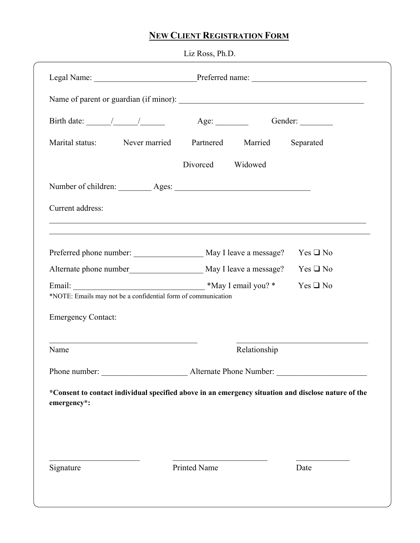## **NEW CLIENT REGISTRATION FORM**

|                                                                                                                    | Liz Ross, Ph.D.                                                                                                                                    |                  |
|--------------------------------------------------------------------------------------------------------------------|----------------------------------------------------------------------------------------------------------------------------------------------------|------------------|
|                                                                                                                    |                                                                                                                                                    |                  |
|                                                                                                                    |                                                                                                                                                    |                  |
|                                                                                                                    |                                                                                                                                                    |                  |
| Marital status: Never married Partnered Married Separated                                                          |                                                                                                                                                    |                  |
|                                                                                                                    | Divorced<br>Widowed                                                                                                                                |                  |
|                                                                                                                    |                                                                                                                                                    |                  |
| Current address:                                                                                                   |                                                                                                                                                    |                  |
|                                                                                                                    | ,我们也不能在这里的时候,我们也不能在这里的时候,我们也不能在这里的时候,我们也不能会不能会不能会不能会不能会不能会不能会。<br>第2012章 我们的时候,我们的时候,我们的时候,我们的时候,我们的时候,我们的时候,我们的时候,我们的时候,我们的时候,我们的时候,我们的时候,我们的时候,我 |                  |
| Preferred phone number: ______________________ May I leave a message?                                              |                                                                                                                                                    | $Yes \square No$ |
|                                                                                                                    |                                                                                                                                                    | $Yes \square No$ |
| *NOTE: Emails may not be a confidential form of communication                                                      | *May I email you? *                                                                                                                                | $Yes \square No$ |
| <b>Emergency Contact:</b>                                                                                          |                                                                                                                                                    |                  |
| Name                                                                                                               | Relationship                                                                                                                                       |                  |
|                                                                                                                    |                                                                                                                                                    |                  |
| *Consent to contact individual specified above in an emergency situation and disclose nature of the<br>emergency*: |                                                                                                                                                    |                  |
|                                                                                                                    |                                                                                                                                                    |                  |
|                                                                                                                    |                                                                                                                                                    |                  |
| Signature                                                                                                          | Printed Name                                                                                                                                       | Date             |
|                                                                                                                    |                                                                                                                                                    |                  |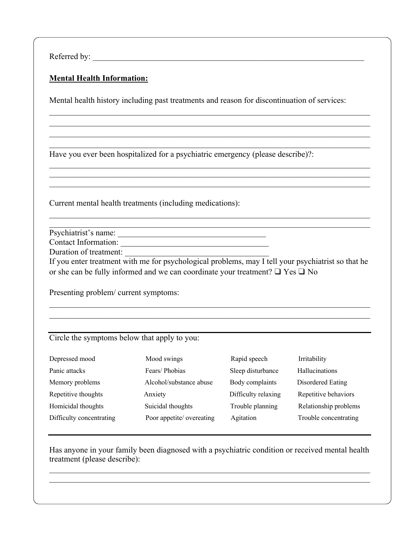Referred by:

## **Mental Health Information:**

Mental health history including past treatments and reason for discontinuation of services:

 $\_$  , and the set of the set of the set of the set of the set of the set of the set of the set of the set of the set of the set of the set of the set of the set of the set of the set of the set of the set of the set of th

Have you ever been hospitalized for a psychiatric emergency (please describe)?:

Current mental health treatments (including medications):

Psychiatrist's name: \_\_\_\_\_\_\_\_\_\_\_\_\_\_\_\_\_\_\_\_\_\_\_\_\_\_\_\_\_\_\_\_\_\_\_\_

Contact Information:

Duration of treatment:

If you enter treatment with me for psychological problems, may I tell your psychiatrist so that he or she can be fully informed and we can coordinate your treatment? ❑ Yes ❑ No

 $\_$  , and the set of the set of the set of the set of the set of the set of the set of the set of the set of the set of the set of the set of the set of the set of the set of the set of the set of the set of the set of th

Presenting problem/ current symptoms:

Circle the symptoms below that apply to you:

| Depressed mood           | Mood swings               | Rapid speech        | Irritability          |
|--------------------------|---------------------------|---------------------|-----------------------|
| Panic attacks            | Fears/Phobias             | Sleep disturbance   | <b>Hallucinations</b> |
| Memory problems          | Alcohol/substance abuse   | Body complaints     | Disordered Eating     |
| Repetitive thoughts      | Anxiety                   | Difficulty relaxing | Repetitive behaviors  |
| Homicidal thoughts       | Suicidal thoughts         | Trouble planning    | Relationship problems |
| Difficulty concentrating | Poor appetite/ overeating | Agitation           | Trouble concentrating |

Has anyone in your family been diagnosed with a psychiatric condition or received mental health treatment (please describe):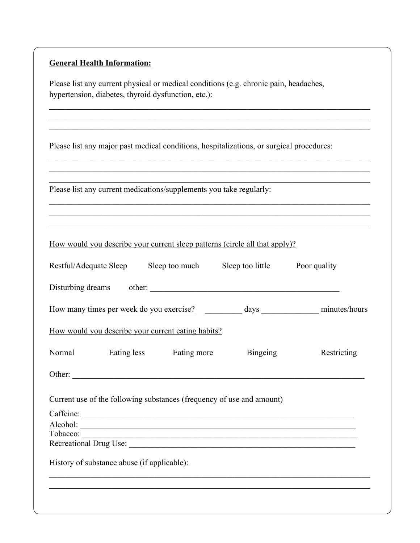## **General Health Information:**

Please list any current physical or medical conditions (e.g. chronic pain, headaches, hypertension, diabetes, thyroid dysfunction, etc.):

Please list any major past medical conditions, hospitalizations, or surgical procedures:

|          |                                             | Please list any current medications/supplements you take regularly: |                                                                             | ,我们也不能在这里的时候,我们也不能在这里的时候,我们也不能会在这里的时候,我们也不能会在这里的时候,我们也不能会在这里的时候,我们也不能会在这里的时候,我们也不 |
|----------|---------------------------------------------|---------------------------------------------------------------------|-----------------------------------------------------------------------------|-----------------------------------------------------------------------------------|
|          |                                             |                                                                     | How would you describe your current sleep patterns (circle all that apply)? |                                                                                   |
|          |                                             |                                                                     | Restful/Adequate Sleep Sleep too much Sleep too little Poor quality         |                                                                                   |
|          |                                             |                                                                     | Disturbing dreams other:                                                    |                                                                                   |
|          |                                             |                                                                     |                                                                             |                                                                                   |
|          |                                             | How would you describe your current eating habits?                  |                                                                             |                                                                                   |
|          |                                             | Normal Eating less Eating more Bingeing                             |                                                                             | Restricting                                                                       |
|          |                                             |                                                                     | Other:                                                                      |                                                                                   |
|          |                                             |                                                                     | Current use of the following substances (frequency of use and amount)       |                                                                                   |
|          |                                             |                                                                     |                                                                             |                                                                                   |
| Tobacco: |                                             |                                                                     |                                                                             |                                                                                   |
|          |                                             |                                                                     |                                                                             |                                                                                   |
|          | History of substance abuse (if applicable): |                                                                     |                                                                             |                                                                                   |